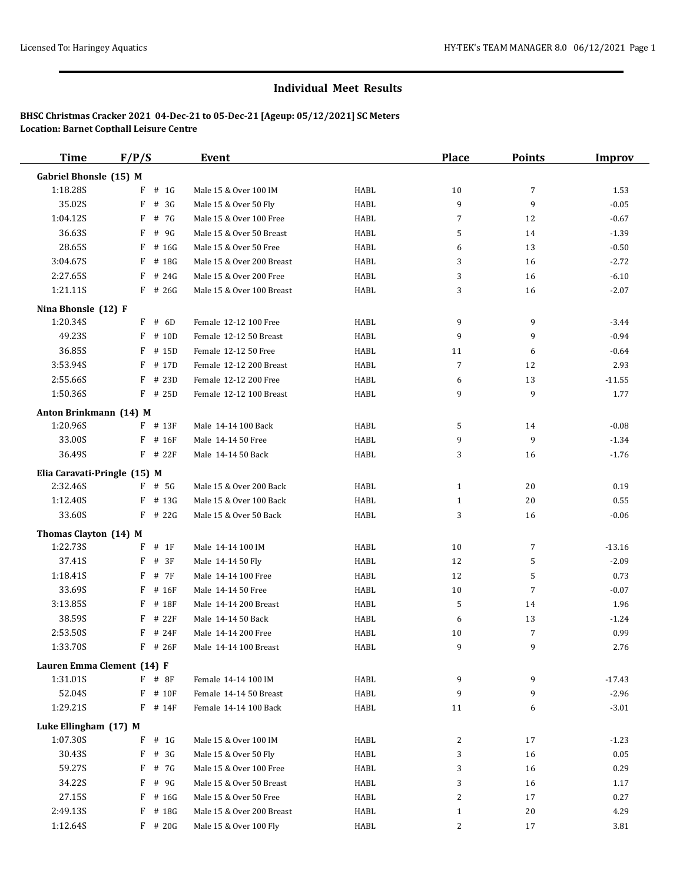| <b>Time</b>                  | F/P/S        | <b>Event</b>              |      | <b>Place</b> | <b>Points</b>  | <b>Improv</b> |
|------------------------------|--------------|---------------------------|------|--------------|----------------|---------------|
| Gabriel Bhonsle (15) M       |              |                           |      |              |                |               |
| 1:18.28S                     | # 1G<br>F    | Male 15 & Over 100 IM     | HABL | 10           | 7              | 1.53          |
| 35.02S                       | F<br># $3G$  | Male 15 & Over 50 Fly     | HABL | 9            | 9              | $-0.05$       |
| 1:04.12S                     | F<br># 7G    | Male 15 & Over 100 Free   | HABL | 7            | 12             | $-0.67$       |
| 36.63S                       | F # 9G       | Male 15 & Over 50 Breast  | HABL | 5            | 14             | $-1.39$       |
| 28.65S                       | $F$ # 16G    | Male 15 & Over 50 Free    | HABL | 6            | 13             | $-0.50$       |
| 3:04.67S                     | F<br># 18G   | Male 15 & Over 200 Breast | HABL | 3            | 16             | $-2.72$       |
| 2:27.65S                     | $F$ # 24G    | Male 15 & Over 200 Free   | HABL | 3            | 16             | $-6.10$       |
| 1:21.11S                     | $F$ # 26G    | Male 15 & Over 100 Breast | HABL | 3            | 16             | $-2.07$       |
| Nina Bhonsle (12) F          |              |                           |      |              |                |               |
| 1:20.34S                     | $F$ # 6D     | Female 12-12 100 Free     | HABL | 9            | 9              | $-3.44$       |
| 49.23S                       | $F$ # 10D    | Female 12-12 50 Breast    | HABL | 9            | 9              | $-0.94$       |
| 36.85S                       | F<br># 15D   | Female 12-12 50 Free      | HABL | 11           | 6              | $-0.64$       |
| 3:53.94S                     | F # 17D      | Female 12-12 200 Breast   | HABL | 7            | 12             | 2.93          |
| 2:55.66S                     | F # 23D      | Female 12-12 200 Free     | HABL | 6            | 13             | $-11.55$      |
| 1:50.36S                     | $F$ # 25D    | Female 12-12 100 Breast   | HABL | 9            | 9              | 1.77          |
| Anton Brinkmann (14) M       |              |                           |      |              |                |               |
| 1:20.96S                     | $F$ # 13 $F$ | Male 14-14 100 Back       | HABL | 5            | 14             | $-0.08$       |
| 33.00S                       | $F$ # 16F    | Male 14-14 50 Free        | HABL | 9            | 9              | $-1.34$       |
| 36.49S                       | $F$ # 22F    | Male 14-14 50 Back        | HABL | 3            | 16             | $-1.76$       |
| Elia Caravati-Pringle (15) M |              |                           |      |              |                |               |
| 2:32.46S                     | $F$ # 5G     | Male 15 & Over 200 Back   | HABL | $\mathbf{1}$ | 20             | 0.19          |
| 1:12.40S                     | $F$ # 13G    | Male 15 & Over 100 Back   | HABL | $\mathbf{1}$ | 20             | 0.55          |
| 33.60S                       | $F$ # 22G    | Male 15 & Over 50 Back    | HABL | 3            | 16             | $-0.06$       |
| Thomas Clayton (14) M        |              |                           |      |              |                |               |
| 1:22.73S                     | $F$ # 1F     | Male 14-14 100 IM         | HABL | 10           | 7              | $-13.16$      |
| 37.41S                       | $F$ # 3F     | Male 14-14 50 Fly         | HABL | 12           | 5              | $-2.09$       |
| 1:18.41S                     | F<br># 7F    | Male 14-14 100 Free       | HABL | 12           | 5              | 0.73          |
| 33.69S                       | $F$ # 16F    | Male 14-14 50 Free        | HABL | 10           | $\overline{7}$ | $-0.07$       |
| 3:13.85S                     | F<br># 18F   | Male 14-14 200 Breast     | HABL | 5            | 14             | 1.96          |
| 38.59S                       | F<br># 22F   | Male 14-14 50 Back        | HABL | 6            | 13             | $-1.24$       |
| 2:53.50S                     | $F$ # 24F    | Male 14-14 200 Free       | HABL | 10           | 7              | 0.99          |
| 1:33.70S                     | $F$ # 26F    | Male 14-14 100 Breast     | HABL | 9            | 9              | 2.76          |
| Lauren Emma Clement (14) F   |              |                           |      |              |                |               |
| 1:31.01S                     | F # 8F       | Female 14-14 100 IM       | HABL | 9            | 9              | $-17.43$      |
| 52.04S                       | $F$ # 10F    | Female 14-14 50 Breast    | HABL | 9            | 9              | $-2.96$       |
| 1:29.21S                     | $F$ # 14F    | Female 14-14 100 Back     | HABL | 11           | 6              | $-3.01$       |
| Luke Ellingham (17) M        |              |                           |      |              |                |               |
| 1:07.30S                     | # 1G<br>F    | Male 15 & Over 100 IM     | HABL | 2            | 17             | $-1.23$       |
| 30.43S                       | $F$ # 3G     | Male 15 & Over 50 Fly     | HABL | 3            | 16             | 0.05          |
| 59.27S                       | F # 7G       | Male 15 & Over 100 Free   | HABL | 3            | 16             | 0.29          |
| 34.22S                       | F<br># 9G    | Male 15 & Over 50 Breast  | HABL | 3            | 16             | 1.17          |
| 27.15S                       | $F$ # 16G    | Male 15 & Over 50 Free    | HABL | 2            | 17             | 0.27          |
| 2:49.13S                     | F # 18G      | Male 15 & Over 200 Breast | HABL | $\mathbf{1}$ | 20             | 4.29          |
| 1:12.64S                     | $F$ # 20G    | Male 15 & Over 100 Fly    | HABL | 2            | 17             | 3.81          |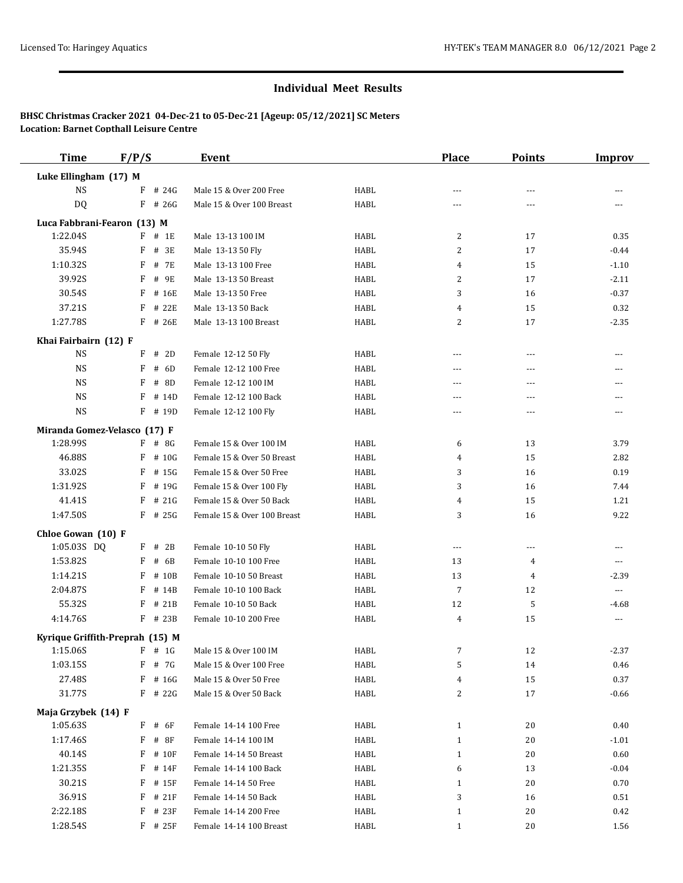| <b>Time</b>                     | F/P/S    |            | Event                       |             | <b>Place</b>   | <b>Points</b>  | <b>Improv</b>  |
|---------------------------------|----------|------------|-----------------------------|-------------|----------------|----------------|----------------|
| Luke Ellingham (17) M           |          |            |                             |             |                |                |                |
| <b>NS</b>                       | F        | # 24G      | Male 15 & Over 200 Free     | HABL        | $---$          | $- - -$        | ---            |
| DQ                              |          | $F$ # 26G  | Male 15 & Over 100 Breast   | HABL        | ---            | ---            |                |
| Luca Fabbrani-Fearon (13) M     |          |            |                             |             |                |                |                |
| 1:22.04S                        |          | $F$ # 1E   | Male 13-13 100 IM           | <b>HABL</b> | 2              | 17             | 0.35           |
| 35.94S                          | F        | # 3E       | Male 13-13 50 Fly           | HABL        | 2              | 17             | $-0.44$        |
| 1:10.32S                        |          | F # 7E     | Male 13-13 100 Free         | HABL        | 4              | 15             | $-1.10$        |
| 39.92S                          |          | F # 9E     | Male 13-13 50 Breast        | HABL        | 2              | 17             | $-2.11$        |
| 30.54S                          | F        | # 16E      | Male 13-13 50 Free          | HABL        | 3              | 16             | $-0.37$        |
| 37.21S                          | F        | # 22E      | Male 13-13 50 Back          | HABL        | 4              | 15             | 0.32           |
| 1:27.78S                        |          | F # 26E    | Male 13-13 100 Breast       | HABL        | 2              | 17             | $-2.35$        |
| Khai Fairbairn (12) F           |          |            |                             |             |                |                |                |
| <b>NS</b>                       |          | $F$ # 2D   | Female 12-12 50 Fly         | HABL        | ---            | ---            | ---            |
| NS                              | F        | # 6D       | Female 12-12 100 Free       | <b>HABL</b> | $\overline{a}$ | ---            | ---            |
| <b>NS</b>                       | F        | # 8D       | Female 12-12 100 IM         | HABL        | $---$          | ---            | ---            |
| <b>NS</b>                       | F        | # 14D      | Female 12-12 100 Back       | HABL        | ---            | ---            |                |
| <b>NS</b>                       |          | $F$ # 19D  | Female 12-12 100 Fly        | HABL        | $---$          | $\overline{a}$ | ---            |
| Miranda Gomez-Velasco (17) F    |          |            |                             |             |                |                |                |
| 1:28.99S                        |          | $F$ # 8G   | Female 15 & Over 100 IM     | HABL        | 6              | 13             | 3.79           |
| 46.88S                          | F        | # 10G      | Female 15 & Over 50 Breast  | HABL        | 4              | 15             | 2.82           |
| 33.02S                          |          | $F$ # 15G  | Female 15 & Over 50 Free    | HABL        | 3              | 16             | 0.19           |
| 1:31.92S                        |          | $F$ # 19G  | Female 15 & Over 100 Fly    | HABL        | 3              | 16             | 7.44           |
| 41.41S                          | F        | # 21G      | Female 15 & Over 50 Back    | HABL        | 4              | 15             | 1.21           |
| 1:47.50S                        |          | $F$ # 25G  | Female 15 & Over 100 Breast | HABL        | 3              | 16             | 9.22           |
| Chloe Gowan (10) F              |          |            |                             |             |                |                |                |
| 1:05.03S DQ                     |          | $F$ # 2B   | Female 10-10 50 Fly         | HABL        | $---$          | $---$          | $---$          |
| 1:53.82S                        | F        | # 6B       | Female 10-10 100 Free       | HABL        | 13             | 4              | $\overline{a}$ |
| 1:14.21S                        | F        | # 10B      | Female 10-10 50 Breast      | HABL        | 13             | 4              | $-2.39$        |
| 2:04.87S                        | F        | # 14B      | Female 10-10 100 Back       | HABL        | $\overline{7}$ | 12             | ---            |
| 55.32S                          | F        | # 21B      | Female 10-10 50 Back        | <b>HABL</b> | 12             | 5              | $-4.68$        |
| 4:14.76S                        |          | F # 23B    | Female 10-10 200 Free       | HABL        | 4              | 15             | ---            |
| Kyrique Griffith-Preprah (15) M |          |            |                             |             |                |                |                |
| 1:15.06S                        | $F$ # 1G |            | Male 15 & Over 100 IM       | HABL        | 7              | 12             | $-2.37$        |
| 1:03.15S                        |          | F # 7G     | Male 15 & Over 100 Free     | HABL        | 5              | 14             | 0.46           |
| 27.48S                          |          | $F$ # 16G  | Male 15 & Over 50 Free      | HABL        | 4              | 15             | 0.37           |
| 31.77S                          |          | $F$ # 22G  | Male 15 & Over 50 Back      | HABL        | 2              | 17             | $-0.66$        |
| Maja Grzybek (14) F             |          |            |                             |             |                |                |                |
| 1:05.63S                        |          | $F$ # $6F$ | Female 14-14 100 Free       | HABL        | $\mathbf{1}$   | 20             | 0.40           |
| 1:17.46S                        |          | $F$ # 8F   | Female 14-14 100 IM         | HABL        | $\mathbf{1}$   | 20             | $-1.01$        |
| 40.14S                          |          | $F$ # 10F  | Female 14-14 50 Breast      | HABL        | $\mathbf{1}$   | 20             | 0.60           |
| 1:21.35S                        | F        | # 14F      | Female 14-14 100 Back       | HABL        | 6              | 13             | $-0.04$        |
| 30.21S                          | F        | # 15F      | Female 14-14 50 Free        | HABL        | $\mathbf{1}$   | 20             | 0.70           |
| 36.91S                          | F        | # 21F      | Female 14-14 50 Back        | HABL        | 3              | 16             | 0.51           |
| 2:22.18S                        | F        | # 23F      | Female 14-14 200 Free       | HABL        | $\mathbf{1}$   | 20             | 0.42           |
| 1:28.54S                        |          | $F$ # 25F  | Female 14-14 100 Breast     | HABL        | $\mathbf{1}$   | 20             | 1.56           |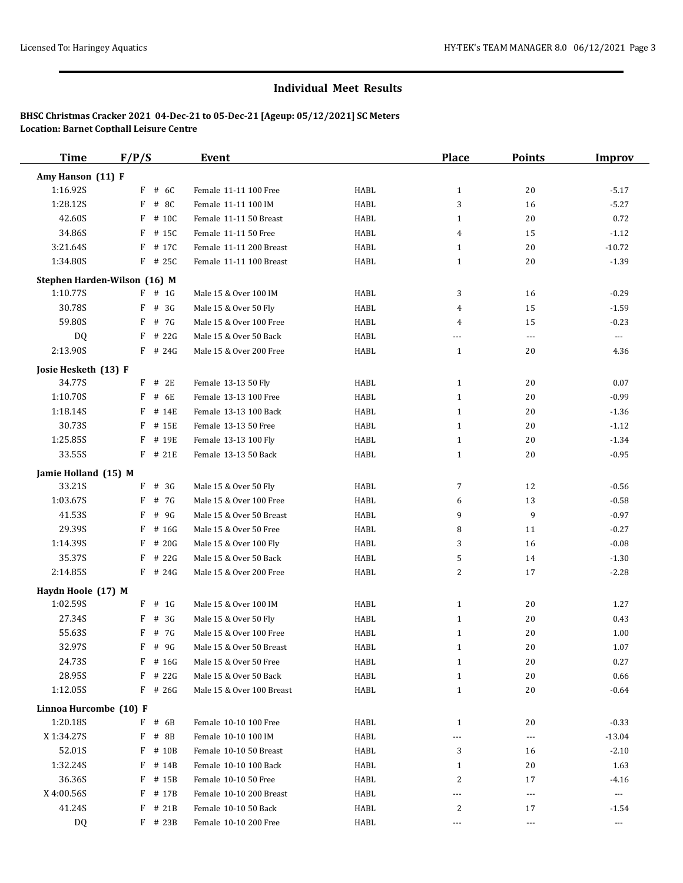| <b>Time</b>            | F/P/S                        | <b>Event</b>              |      | <b>Place</b> | <b>Points</b>        | <b>Improv</b>            |
|------------------------|------------------------------|---------------------------|------|--------------|----------------------|--------------------------|
| Amy Hanson (11) F      |                              |                           |      |              |                      |                          |
| 1:16.92S               | $F$ # 6C                     | Female 11-11 100 Free     | HABL | $\mathbf{1}$ | 20                   | $-5.17$                  |
| 1:28.12S               | F<br># 8C                    | Female 11-11 100 IM       | HABL | 3            | 16                   | $-5.27$                  |
| 42.60S                 | F # 10C                      | Female 11-11 50 Breast    | HABL | $\mathbf{1}$ | 20                   | 0.72                     |
| 34.86S                 | $F$ # 15C                    | Female 11-11 50 Free      | HABL | 4            | 15                   | $-1.12$                  |
| 3:21.64S               | F # 17C                      | Female 11-11 200 Breast   | HABL | $\mathbf{1}$ | 20                   | $-10.72$                 |
| 1:34.80S               | F # 25C                      | Female 11-11 100 Breast   | HABL | 1            | 20                   | $-1.39$                  |
|                        | Stephen Harden-Wilson (16) M |                           |      |              |                      |                          |
| 1:10.77S               | $F$ # 1G                     | Male 15 & Over 100 IM     | HABL | 3            | 16                   | $-0.29$                  |
| 30.78S                 | F<br># 3G                    | Male 15 & Over 50 Fly     | HABL | 4            | 15                   | $-1.59$                  |
| 59.80S                 | F # 7G                       | Male 15 & Over 100 Free   | HABL | 4            | 15                   | $-0.23$                  |
| DQ                     | $F$ # 22G                    | Male 15 & Over 50 Back    | HABL | ---          | ---                  | $\scriptstyle \cdots$    |
| 2:13.90S               | $F$ # 24G                    | Male 15 & Over 200 Free   | HABL | $\mathbf{1}$ | 20                   | 4.36                     |
| Josie Hesketh (13) F   |                              |                           |      |              |                      |                          |
| 34.77S                 | $F$ # 2E                     | Female 13-13 50 Fly       | HABL | $\mathbf{1}$ | 20                   | 0.07                     |
| 1:10.70S               | $F$ # 6E                     | Female 13-13 100 Free     | HABL | $\mathbf{1}$ | 20                   | $-0.99$                  |
| 1:18.14S               | F<br># 14E                   | Female 13-13 100 Back     | HABL | $\mathbf{1}$ | 20                   | $-1.36$                  |
| 30.73S                 | F<br># 15E                   | Female 13-13 50 Free      | HABL | $\mathbf{1}$ | 20                   | $-1.12$                  |
| 1:25.85S               | F # 19E                      | Female 13-13 100 Fly      | HABL | $\mathbf{1}$ | 20                   | $-1.34$                  |
| 33.55S                 | F # 21E                      | Female 13-13 50 Back      | HABL | $\mathbf{1}$ | 20                   | $-0.95$                  |
| Jamie Holland (15) M   |                              |                           |      |              |                      |                          |
| 33.21S                 | $F$ # 3G                     | Male 15 & Over 50 Fly     | HABL | 7            | 12                   | $-0.56$                  |
| 1:03.67S               | F # 7G                       | Male 15 & Over 100 Free   | HABL | 6            | 13                   | $-0.58$                  |
| 41.53S                 | F<br># 9G                    | Male 15 & Over 50 Breast  | HABL | 9            | 9                    | $-0.97$                  |
| 29.39S                 | F<br># 16G                   | Male 15 & Over 50 Free    | HABL | 8            | 11                   | $-0.27$                  |
| 1:14.39S               | F<br># 20G                   | Male 15 & Over 100 Fly    | HABL | 3            | 16                   | $-0.08$                  |
| 35.37S                 | F<br># 22G                   | Male 15 & Over 50 Back    | HABL | 5            | 14                   | $-1.30$                  |
| 2:14.85S               | $F$ # 24G                    | Male 15 & Over 200 Free   | HABL | 2            | 17                   | $-2.28$                  |
| Haydn Hoole (17) M     |                              |                           |      |              |                      |                          |
| 1:02.59S               | $F$ # 1G                     | Male 15 & Over 100 IM     | HABL | $\mathbf{1}$ | 20                   | 1.27                     |
| 27.34S                 | # 3G<br>F                    | Male 15 & Over 50 Fly     | HABL | $\mathbf{1}$ | 20                   | 0.43                     |
| 55.63S                 | F # 7G                       | Male 15 & Over 100 Free   | HABL | 1            | 20                   | 1.00                     |
| 32.97S                 | $F$ # 9G                     | Male 15 & Over 50 Breast  | HABL | 1            | 20                   | 1.07                     |
| 24.73S                 | $F$ # 16G                    | Male 15 & Over 50 Free    | HABL | $\mathbf{1}$ | 20                   | 0.27                     |
| 28.95S                 | $F$ # 22G                    | Male 15 & Over 50 Back    | HABL | $\mathbf{1}$ | 20                   | 0.66                     |
| 1:12.05S               | $F$ # 26G                    | Male 15 & Over 100 Breast | HABL | $\mathbf{1}$ | 20                   | $-0.64$                  |
| Linnoa Hurcombe (10) F |                              |                           |      |              |                      |                          |
| 1:20.18S               | F # 6B                       | Female 10-10 100 Free     | HABL | $\mathbf{1}$ | 20                   | $-0.33$                  |
| X 1:34.27S             | F # 8B                       | Female 10-10 100 IM       | HABL | ---          | $\scriptstyle\cdots$ | $-13.04$                 |
| 52.01S                 | $F$ # 10B                    | Female 10-10 50 Breast    | HABL | 3            | 16                   | $-2.10$                  |
| 1:32.24S               | F # 14B                      | Female 10-10 100 Back     | HABL | $\mathbf{1}$ | 20                   | 1.63                     |
| 36.36S                 | F # 15B                      | Female 10-10 50 Free      | HABL | 2            | 17                   | $-4.16$                  |
| X 4:00.56S             | F # 17B                      | Female 10-10 200 Breast   | HABL | $---$        | $\scriptstyle\cdots$ | $\hspace{0.05cm} \ldots$ |
| 41.24S                 | $F$ # 21B                    | Female 10-10 50 Back      | HABL | 2            | 17                   | $-1.54$                  |
| DQ                     | $F$ # 23B                    | Female 10-10 200 Free     | HABL | $---$        | $\scriptstyle\cdots$ | $\scriptstyle \cdots$    |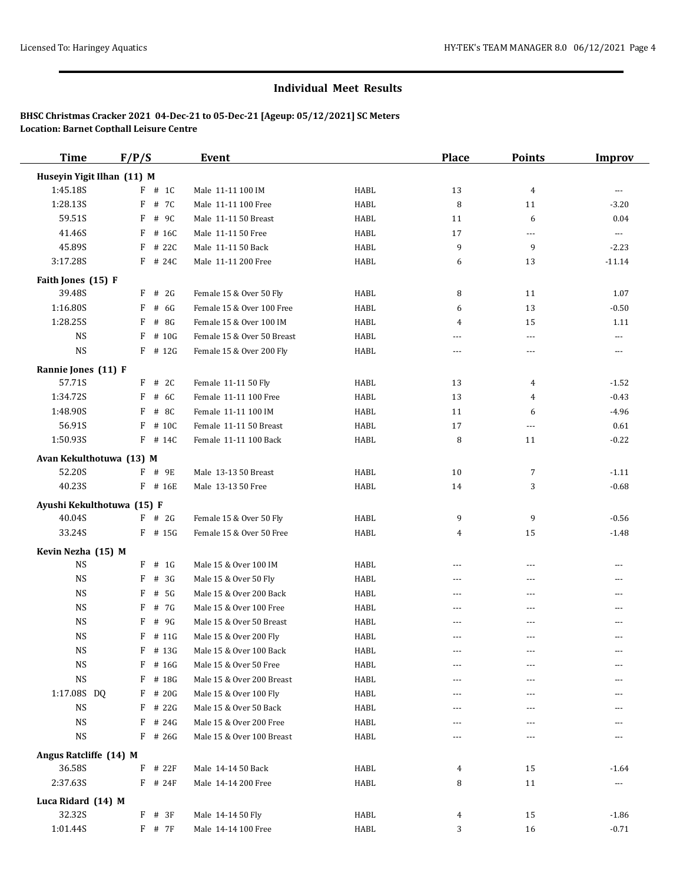| <b>Time</b>                | F/P/S        | <b>Event</b>               |      | <b>Place</b>  | <b>Points</b>        | <b>Improv</b>         |
|----------------------------|--------------|----------------------------|------|---------------|----------------------|-----------------------|
| Huseyin Yigit Ilhan (11) M |              |                            |      |               |                      |                       |
| 1:45.18S                   | $F$ # 1C     | Male 11-11 100 IM          | HABL | 13            | $\overline{4}$       | $\cdots$              |
| 1:28.13S                   | F<br># 7C    | Male 11-11 100 Free        | HABL | 8             | 11                   | $-3.20$               |
| 59.51S                     | F # 9C       | Male 11-11 50 Breast       | HABL | 11            | 6                    | 0.04                  |
| 41.46S                     | $F$ # 16C    | Male 11-11 50 Free         | HABL | 17            | $\scriptstyle\cdots$ | $\scriptstyle \cdots$ |
| 45.89S                     | $F$ # 22C    | Male 11-11 50 Back         | HABL | 9             | 9                    | $-2.23$               |
| 3:17.28S                   | F # 24C      | Male 11-11 200 Free        | HABL | 6             | 13                   | $-11.14$              |
| Faith Jones (15) F         |              |                            |      |               |                      |                       |
| 39.48S                     | $F$ # 2G     | Female 15 & Over 50 Fly    | HABL | 8             | 11                   | 1.07                  |
| 1:16.80S                   | # 6G<br>F    | Female 15 & Over 100 Free  | HABL | 6             | 13                   | $-0.50$               |
| 1:28.25S                   | $F$ # 8G     | Female 15 & Over 100 IM    | HABL | 4             | 15                   | 1.11                  |
| <b>NS</b>                  | $F$ # 10G    | Female 15 & Over 50 Breast | HABL | ---           | ---                  | $---$                 |
| $_{\rm NS}$                | $F$ # 12G    | Female 15 & Over 200 Fly   | HABL | $---$         | ---                  | $\cdots$              |
| Rannie Jones (11) F        |              |                            |      |               |                      |                       |
| 57.71S                     | $F$ # 2C     | Female 11-11 50 Fly        | HABL | 13            | 4                    | $-1.52$               |
| 1:34.72S                   | $F$ # 6C     | Female 11-11 100 Free      | HABL | 13            | 4                    | $-0.43$               |
| 1:48.90S                   | # 8C<br>F    | Female 11-11 100 IM        | HABL | 11            | 6                    | $-4.96$               |
| 56.91S                     | F # 10C      | Female 11-11 50 Breast     | HABL | 17            | $\scriptstyle\cdots$ | 0.61                  |
| 1:50.93S                   | F # 14C      | Female 11-11 100 Back      | HABL | 8             | 11                   | $-0.22$               |
| Avan Kekulthotuwa (13) M   |              |                            |      |               |                      |                       |
| 52.20S                     | $F$ # 9E     | Male 13-13 50 Breast       | HABL | 10            | 7                    | $-1.11$               |
| 40.23S                     | $F$ # 16E    | Male 13-13 50 Free         | HABL | 14            | 3                    | $-0.68$               |
| Ayushi Kekulthotuwa (15) F |              |                            |      |               |                      |                       |
| 40.04S                     | $F$ # 2G     | Female 15 & Over 50 Fly    | HABL | 9             | 9                    | $-0.56$               |
| 33.24S                     | $F$ # 15G    | Female 15 & Over 50 Free   | HABL | 4             | 15                   | $-1.48$               |
| Kevin Nezha (15) M         |              |                            |      |               |                      |                       |
| $_{\rm NS}$                | $F$ # 1G     | Male 15 & Over 100 IM      | HABL | $---$         | $---$                | $---$                 |
| <b>NS</b>                  | # $3G$<br>F  | Male 15 & Over 50 Fly      | HABL | $\sim$ $\sim$ | $\overline{a}$       | $\overline{a}$        |
| <b>NS</b>                  | # 5G<br>F    | Male 15 & Over 200 Back    | HABL | $---$         | ---                  |                       |
| <b>NS</b>                  | F # 7G       | Male 15 & Over 100 Free    | HABL | $- - -$       | $---$                |                       |
| <b>NS</b>                  | F<br># 9G    | Male 15 & Over 50 Breast   | HABL | ---           | ---                  |                       |
| $_{\rm NS}$                | $F$ # 11G    | Male 15 & Over 200 Fly     | HABL | $- - -$       | $\overline{a}$       | $- - -$               |
| $\rm{NS}$                  | $F$ # 13G    | Male 15 & Over 100 Back    | HABL |               |                      |                       |
| <b>NS</b>                  | F # 16G      | Male 15 & Over 50 Free     | HABL | ---           |                      |                       |
| $\rm{NS}$                  | # 18G<br>F   | Male 15 & Over 200 Breast  | HABL | ---           | ---                  |                       |
| 1:17.08S DQ                | F # 20G      | Male 15 & Over 100 Fly     | HABL |               |                      |                       |
| <b>NS</b>                  | $F$ # 22G    | Male 15 & Over 50 Back     | HABL | ---           |                      |                       |
| <b>NS</b>                  | $F$ # 24G    | Male 15 & Over 200 Free    | HABL | ---           |                      |                       |
| <b>NS</b>                  | $F$ # 26G    | Male 15 & Over 100 Breast  | HABL | $---$         | $---$                |                       |
| Angus Ratcliffe (14) M     |              |                            |      |               |                      |                       |
| 36.58S                     | $F$ # 22 $F$ | Male 14-14 50 Back         | HABL | 4             | 15                   | $-1.64$               |
| 2:37.63S                   | $F$ # 24F    | Male 14-14 200 Free        | HABL | 8             | 11                   |                       |
| Luca Ridard (14) M         |              |                            |      |               |                      |                       |
| 32.32S                     | $F$ # 3F     | Male 14-14 50 Fly          | HABL | 4             | 15                   | $-1.86$               |
| 1:01.44S                   | $F$ # 7 $F$  | Male 14-14 100 Free        | HABL | 3             | 16                   | $-0.71$               |
|                            |              |                            |      |               |                      |                       |